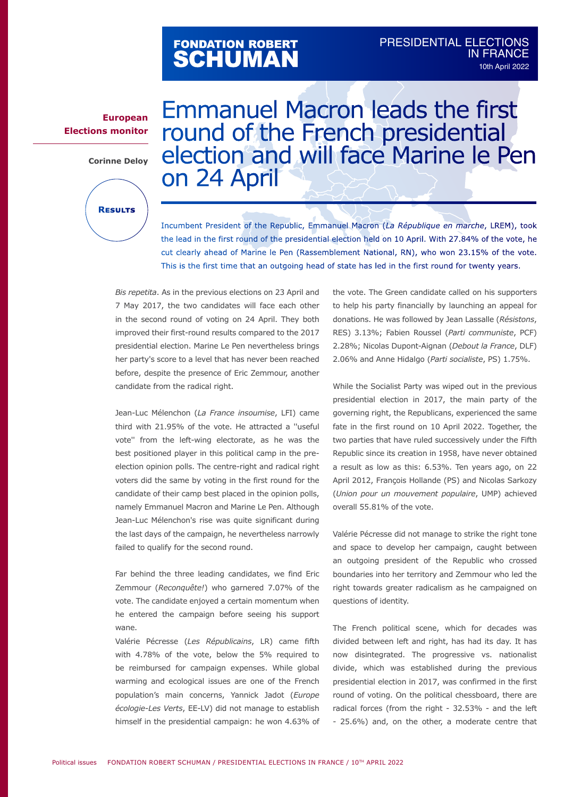## FONDATION ROBERT<br>**SCHUMAN**

## **European Elections monitor**

**Corinne Deloy**



Emmanuel Macron leads the first round of the French presidential election and will face Marine le Pen on 24 April

Incumbent President of the Republic, Emmanuel Macron (*La République en marche*, LREM), took the lead in the first round of the presidential election held on 10 April. With 27.84% of the vote, he cut clearly ahead of Marine le Pen (Rassemblement National, RN), who won 23.15% of the vote. This is the first time that an outgoing head of state has led in the first round for twenty years.

*Bis repetita*. As in the previous elections on 23 April and 7 May 2017, the two candidates will face each other in the second round of voting on 24 April. They both improved their first-round results compared to the 2017 presidential election. Marine Le Pen nevertheless brings her party's score to a level that has never been reached before, despite the presence of Eric Zemmour, another candidate from the radical right.

Jean-Luc Mélenchon (*La France insoumise*, LFI) came third with 21.95% of the vote. He attracted a ''useful vote'' from the left-wing electorate, as he was the best positioned player in this political camp in the preelection opinion polls. The centre-right and radical right voters did the same by voting in the first round for the candidate of their camp best placed in the opinion polls, namely Emmanuel Macron and Marine Le Pen. Although Jean-Luc Mélenchon's rise was quite significant during the last days of the campaign, he nevertheless narrowly failed to qualify for the second round.

Far behind the three leading candidates, we find Eric Zemmour (*Reconquête!*) who garnered 7.07% of the vote. The candidate enjoyed a certain momentum when he entered the campaign before seeing his support wane.

Valérie Pécresse (*Les Républicains*, LR) came fifth with 4.78% of the vote, below the 5% required to be reimbursed for campaign expenses. While global warming and ecological issues are one of the French population's main concerns, Yannick Jadot (*Europe écologie-Les Verts*, EE-LV) did not manage to establish himself in the presidential campaign: he won 4.63% of the vote. The Green candidate called on his supporters to help his party financially by launching an appeal for donations. He was followed by Jean Lassalle (*Résistons*, RES) 3.13%; Fabien Roussel (*Parti communiste*, PCF) 2.28%; Nicolas Dupont-Aignan (*Debout la France*, DLF) 2.06% and Anne Hidalgo (*Parti socialiste*, PS) 1.75%.

While the Socialist Party was wiped out in the previous presidential election in 2017, the main party of the governing right, the Republicans, experienced the same fate in the first round on 10 April 2022. Together, the two parties that have ruled successively under the Fifth Republic since its creation in 1958, have never obtained a result as low as this: 6.53%. Ten years ago, on 22 April 2012, François Hollande (PS) and Nicolas Sarkozy (*Union pour un mouvement populaire*, UMP) achieved overall 55.81% of the vote.

Valérie Pécresse did not manage to strike the right tone and space to develop her campaign, caught between an outgoing president of the Republic who crossed boundaries into her territory and Zemmour who led the right towards greater radicalism as he campaigned on questions of identity.

The French political scene, which for decades was divided between left and right, has had its day. It has now disintegrated. The progressive vs. nationalist divide, which was established during the previous presidential election in 2017, was confirmed in the first round of voting. On the political chessboard, there are radical forces (from the right - 32.53% - and the left - 25.6%) and, on the other, a moderate centre that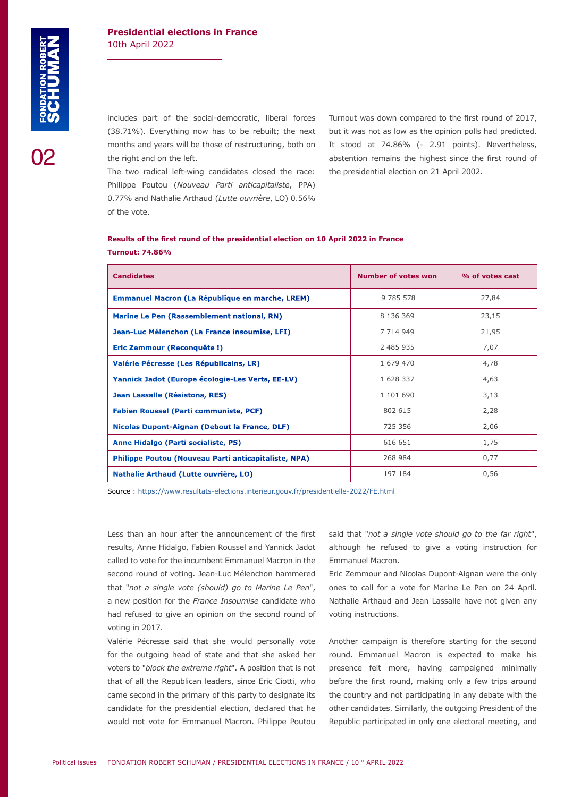02

## **Presidential elections in France** 10th April 2022

includes part of the social-democratic, liberal forces (38.71%). Everything now has to be rebuilt; the next months and years will be those of restructuring, both on the right and on the left.

Turnout was down compared to the first round of 2017, but it was not as low as the opinion polls had predicted. It stood at 74.86% (- 2.91 points). Nevertheless, abstention remains the highest since the first round of the presidential election on 21 April 2002.

The two radical left-wing candidates closed the race: Philippe Poutou (*Nouveau Parti anticapitaliste*, PPA) 0.77% and Nathalie Arthaud (*Lutte ouvrière*, LO) 0.56% of the vote.

| <b>Candidates</b>                                      | Number of votes won | % of votes cast |
|--------------------------------------------------------|---------------------|-----------------|
| <b>Emmanuel Macron (La République en marche, LREM)</b> | 9 785 578           | 27,84           |
| Marine Le Pen (Rassemblement national, RN)             | 8 136 369           | 23,15           |
| Jean-Luc Mélenchon (La France insoumise, LFI)          | 7 7 14 9 49         | 21,95           |
| Eric Zemmour (Reconquête!)                             | 2 485 935           | 7,07            |
| Valérie Pécresse (Les Républicains, LR)                | 1 679 470           | 4,78            |
| Yannick Jadot (Europe écologie-Les Verts, EE-LV)       | 1 628 337           | 4,63            |
| Jean Lassalle (Résistons, RES)                         | 1 101 690           | 3,13            |
| <b>Fabien Roussel (Parti communiste, PCF)</b>          | 802 615             | 2,28            |
| Nicolas Dupont-Aignan (Debout la France, DLF)          | 725 356             | 2,06            |
| Anne Hidalgo (Parti socialiste, PS)                    | 616 651             | 1,75            |
| Philippe Poutou (Nouveau Parti anticapitaliste, NPA)   | 268 984             | 0,77            |
| Nathalie Arthaud (Lutte ouvrière, LO)                  | 197 184             | 0,56            |

**Results of the first round of the presidential election on 10 April 2022 in France Turnout: 74.86%**

Source : <https://www.resultats-elections.interieur.gouv.fr/presidentielle-2022/FE.html>

Less than an hour after the announcement of the first results, Anne Hidalgo, Fabien Roussel and Yannick Jadot called to vote for the incumbent Emmanuel Macron in the second round of voting. Jean-Luc Mélenchon hammered that "*not a single vote (should) go to Marine Le Pen*", a new position for the *France Insoumise* candidate who had refused to give an opinion on the second round of voting in 2017.

Valérie Pécresse said that she would personally vote for the outgoing head of state and that she asked her voters to "*block the extreme right*". A position that is not that of all the Republican leaders, since Eric Ciotti, who came second in the primary of this party to designate its candidate for the presidential election, declared that he would not vote for Emmanuel Macron. Philippe Poutou

said that "*not a single vote should go to the far right*", although he refused to give a voting instruction for Emmanuel Macron.

Eric Zemmour and Nicolas Dupont-Aignan were the only ones to call for a vote for Marine Le Pen on 24 April. Nathalie Arthaud and Jean Lassalle have not given any voting instructions.

Another campaign is therefore starting for the second round. Emmanuel Macron is expected to make his presence felt more, having campaigned minimally before the first round, making only a few trips around the country and not participating in any debate with the other candidates. Similarly, the outgoing President of the Republic participated in only one electoral meeting, and